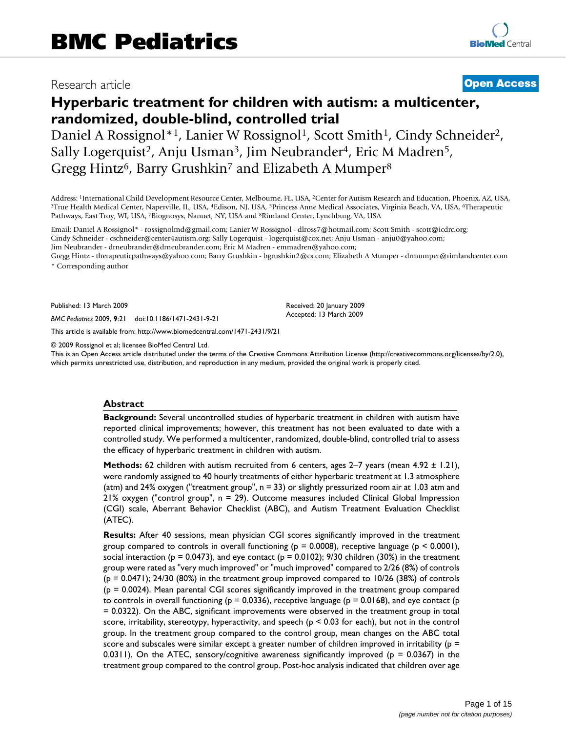# Research article **[Open Access](http://www.biomedcentral.com/info/about/charter/)**

# **Hyperbaric treatment for children with autism: a multicenter, randomized, double-blind, controlled trial**

Daniel A Rossignol<sup>\*1</sup>, Lanier W Rossignol<sup>1</sup>, Scott Smith<sup>1</sup>, Cindy Schneider<sup>2</sup>, Sally Logerquist<sup>2</sup>, Anju Usman<sup>3</sup>, Jim Neubrander<sup>4</sup>, Eric M Madren<sup>5</sup>, Gregg Hintz<sup>6</sup>, Barry Grushkin<sup>7</sup> and Elizabeth A Mumper<sup>8</sup>

Address: <sup>1</sup>International Child Development Resource Center, Melbourne, FL, USA, <sup>2</sup>Center for Autism Research and Education, Phoenix, AZ, USA, 47, USA, 45, USA, 67, USA, 67, USA, 67, USA, 67, USA, 67, USA, 67, USA, 67, US Pathways, East Troy, WI, USA, 7Biognosys, Nanuet, NY, USA and 8Rimland Center, Lynchburg, VA, USA

Email: Daniel A Rossignol\* - rossignolmd@gmail.com; Lanier W Rossignol - dlross7@hotmail.com; Scott Smith - scott@icdrc.org; Cindy Schneider - cschneider@center4autism.org; Sally Logerquist - logerquist@cox.net; Anju Usman - anju0@yahoo.com; Jim Neubrander - drneubrander@drneubrander.com; Eric M Madren - emmadren@yahoo.com;

Gregg Hintz - therapeuticpathways@yahoo.com; Barry Grushkin - bgrushkin2@cs.com; Elizabeth A Mumper - drmumper@rimlandcenter.com \* Corresponding author

> Received: 20 January 2009 Accepted: 13 March 2009

Published: 13 March 2009

*BMC Pediatrics* 2009, **9**:21 doi:10.1186/1471-2431-9-21

[This article is available from: http://www.biomedcentral.com/1471-2431/9/21](http://www.biomedcentral.com/1471-2431/9/21)

© 2009 Rossignol et al; licensee BioMed Central Ltd.

This is an Open Access article distributed under the terms of the Creative Commons Attribution License [\(http://creativecommons.org/licenses/by/2.0\)](http://creativecommons.org/licenses/by/2.0), which permits unrestricted use, distribution, and reproduction in any medium, provided the original work is properly cited.

#### **Abstract**

**Background:** Several uncontrolled studies of hyperbaric treatment in children with autism have reported clinical improvements; however, this treatment has not been evaluated to date with a controlled study. We performed a multicenter, randomized, double-blind, controlled trial to assess the efficacy of hyperbaric treatment in children with autism.

**Methods:** 62 children with autism recruited from 6 centers, ages 2–7 years (mean 4.92 ± 1.21), were randomly assigned to 40 hourly treatments of either hyperbaric treatment at 1.3 atmosphere (atm) and 24% oxygen ("treatment group",  $n = 33$ ) or slightly pressurized room air at 1.03 atm and 21% oxygen ("control group", n = 29). Outcome measures included Clinical Global Impression (CGI) scale, Aberrant Behavior Checklist (ABC), and Autism Treatment Evaluation Checklist (ATEC).

**Results:** After 40 sessions, mean physician CGI scores significantly improved in the treatment group compared to controls in overall functioning ( $p = 0.0008$ ), receptive language ( $p \le 0.0001$ ), social interaction ( $p = 0.0473$ ), and eye contact ( $p = 0.0102$ ); 9/30 children (30%) in the treatment group were rated as "very much improved" or "much improved" compared to 2/26 (8%) of controls  $(p = 0.0471)$ ; 24/30 (80%) in the treatment group improved compared to 10/26 (38%) of controls  $(p = 0.0024)$ . Mean parental CGI scores significantly improved in the treatment group compared to controls in overall functioning ( $p = 0.0336$ ), receptive language ( $p = 0.0168$ ), and eye contact ( $p$ = 0.0322). On the ABC, significant improvements were observed in the treatment group in total score, irritability, stereotypy, hyperactivity, and speech ( $p < 0.03$  for each), but not in the control group. In the treatment group compared to the control group, mean changes on the ABC total score and subscales were similar except a greater number of children improved in irritability ( $p =$ 0.0311). On the ATEC, sensory/cognitive awareness significantly improved ( $p = 0.0367$ ) in the treatment group compared to the control group. Post-hoc analysis indicated that children over age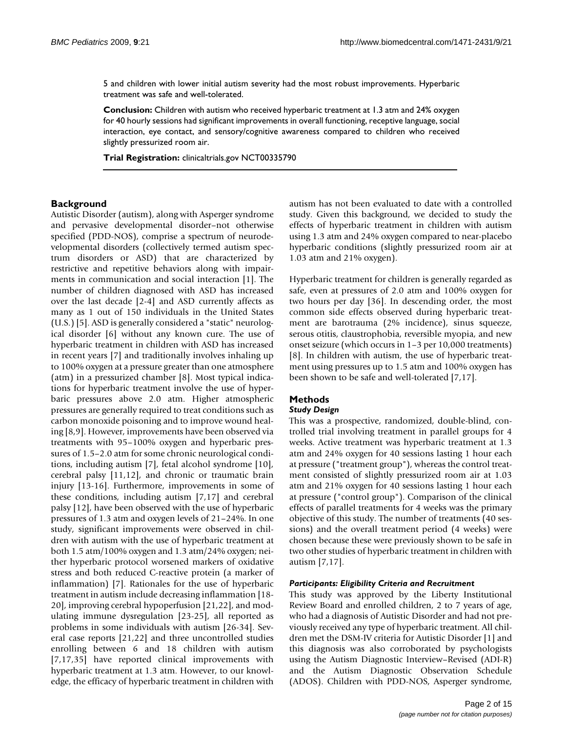5 and children with lower initial autism severity had the most robust improvements. Hyperbaric treatment was safe and well-tolerated.

**Conclusion:** Children with autism who received hyperbaric treatment at 1.3 atm and 24% oxygen for 40 hourly sessions had significant improvements in overall functioning, receptive language, social interaction, eye contact, and sensory/cognitive awareness compared to children who received slightly pressurized room air.

**Trial Registration:** clinicaltrials.gov NCT00335790

#### **Background**

Autistic Disorder (autism), along with Asperger syndrome and pervasive developmental disorder–not otherwise specified (PDD-NOS), comprise a spectrum of neurodevelopmental disorders (collectively termed autism spectrum disorders or ASD) that are characterized by restrictive and repetitive behaviors along with impairments in communication and social interaction [1]. The number of children diagnosed with ASD has increased over the last decade [2-4] and ASD currently affects as many as 1 out of 150 individuals in the United States (U.S.) [5]. ASD is generally considered a "static" neurological disorder [6] without any known cure. The use of hyperbaric treatment in children with ASD has increased in recent years [7] and traditionally involves inhaling up to 100% oxygen at a pressure greater than one atmosphere (atm) in a pressurized chamber [8]. Most typical indications for hyperbaric treatment involve the use of hyperbaric pressures above 2.0 atm. Higher atmospheric pressures are generally required to treat conditions such as carbon monoxide poisoning and to improve wound healing [8,9]. However, improvements have been observed via treatments with 95–100% oxygen and hyperbaric pressures of 1.5–2.0 atm for some chronic neurological conditions, including autism [7], fetal alcohol syndrome [10], cerebral palsy [11,12], and chronic or traumatic brain injury [13-16]. Furthermore, improvements in some of these conditions, including autism [7,17] and cerebral palsy [12], have been observed with the use of hyperbaric pressures of 1.3 atm and oxygen levels of 21–24%. In one study, significant improvements were observed in children with autism with the use of hyperbaric treatment at both 1.5 atm/100% oxygen and 1.3 atm/24% oxygen; neither hyperbaric protocol worsened markers of oxidative stress and both reduced C-reactive protein (a marker of inflammation) [7]. Rationales for the use of hyperbaric treatment in autism include decreasing inflammation [18- 20], improving cerebral hypoperfusion [21,22], and modulating immune dysregulation [23-25], all reported as problems in some individuals with autism [26-34]. Several case reports [21,22] and three uncontrolled studies enrolling between 6 and 18 children with autism [7,17,35] have reported clinical improvements with hyperbaric treatment at 1.3 atm. However, to our knowledge, the efficacy of hyperbaric treatment in children with autism has not been evaluated to date with a controlled study. Given this background, we decided to study the effects of hyperbaric treatment in children with autism using 1.3 atm and 24% oxygen compared to near-placebo hyperbaric conditions (slightly pressurized room air at 1.03 atm and 21% oxygen).

Hyperbaric treatment for children is generally regarded as safe, even at pressures of 2.0 atm and 100% oxygen for two hours per day [36]. In descending order, the most common side effects observed during hyperbaric treatment are barotrauma (2% incidence), sinus squeeze, serous otitis, claustrophobia, reversible myopia, and new onset seizure (which occurs in 1–3 per 10,000 treatments) [8]. In children with autism, the use of hyperbaric treatment using pressures up to 1.5 atm and 100% oxygen has been shown to be safe and well-tolerated [7,17].

## **Methods**

#### *Study Design*

This was a prospective, randomized, double-blind, controlled trial involving treatment in parallel groups for 4 weeks. Active treatment was hyperbaric treatment at 1.3 atm and 24% oxygen for 40 sessions lasting 1 hour each at pressure ("treatment group"), whereas the control treatment consisted of slightly pressurized room air at 1.03 atm and 21% oxygen for 40 sessions lasting 1 hour each at pressure ("control group"). Comparison of the clinical effects of parallel treatments for 4 weeks was the primary objective of this study. The number of treatments (40 sessions) and the overall treatment period (4 weeks) were chosen because these were previously shown to be safe in two other studies of hyperbaric treatment in children with autism [7,17].

#### *Participants: Eligibility Criteria and Recruitment*

This study was approved by the Liberty Institutional Review Board and enrolled children, 2 to 7 years of age, who had a diagnosis of Autistic Disorder and had not previously received any type of hyperbaric treatment. All children met the DSM-IV criteria for Autistic Disorder [1] and this diagnosis was also corroborated by psychologists using the Autism Diagnostic Interview–Revised (ADI-R) and the Autism Diagnostic Observation Schedule (ADOS). Children with PDD-NOS, Asperger syndrome,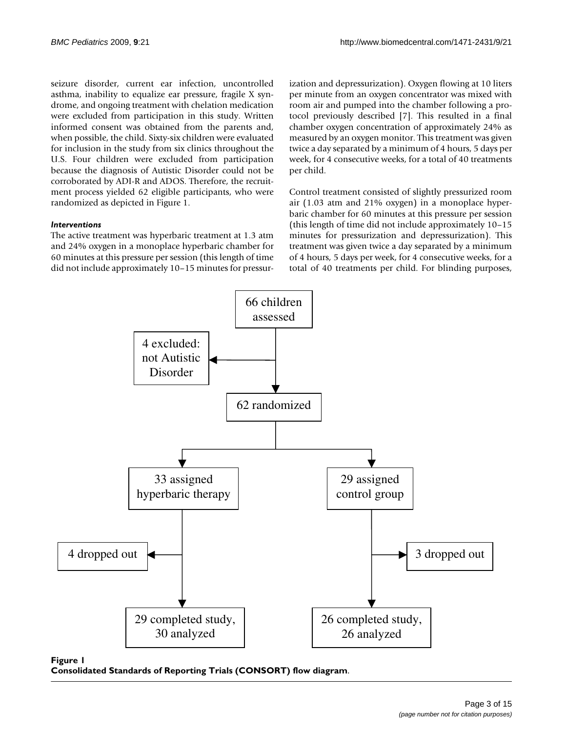seizure disorder, current ear infection, uncontrolled asthma, inability to equalize ear pressure, fragile X syndrome, and ongoing treatment with chelation medication were excluded from participation in this study. Written informed consent was obtained from the parents and, when possible, the child. Sixty-six children were evaluated for inclusion in the study from six clinics throughout the U.S. Four children were excluded from participation because the diagnosis of Autistic Disorder could not be corroborated by ADI-R and ADOS. Therefore, the recruitment process yielded 62 eligible participants, who were randomized as depicted in Figure 1.

#### *Interventions*

The active treatment was hyperbaric treatment at 1.3 atm and 24% oxygen in a monoplace hyperbaric chamber for 60 minutes at this pressure per session (this length of time did not include approximately 10–15 minutes for pressurization and depressurization). Oxygen flowing at 10 liters per minute from an oxygen concentrator was mixed with room air and pumped into the chamber following a protocol previously described [7]. This resulted in a final chamber oxygen concentration of approximately 24% as measured by an oxygen monitor. This treatment was given twice a day separated by a minimum of 4 hours, 5 days per week, for 4 consecutive weeks, for a total of 40 treatments per child.

Control treatment consisted of slightly pressurized room air (1.03 atm and 21% oxygen) in a monoplace hyperbaric chamber for 60 minutes at this pressure per session (this length of time did not include approximately 10–15 minutes for pressurization and depressurization). This treatment was given twice a day separated by a minimum of 4 hours, 5 days per week, for 4 consecutive weeks, for a total of 40 treatments per child. For blinding purposes,



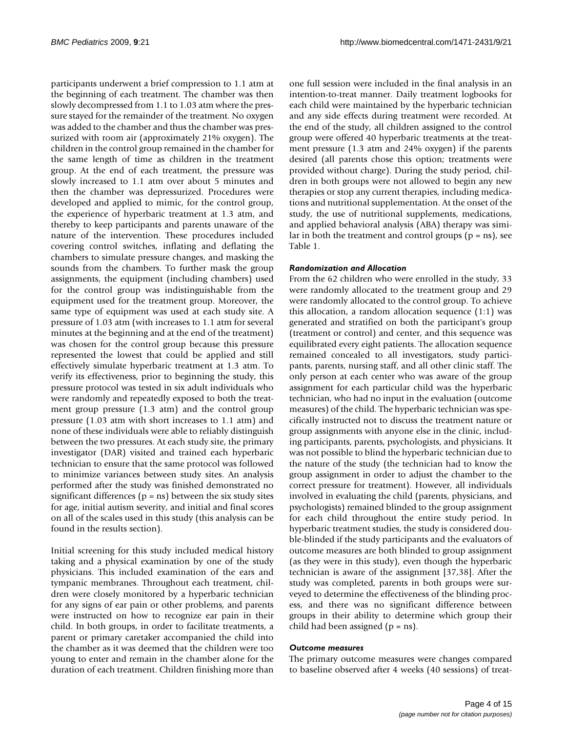participants underwent a brief compression to 1.1 atm at the beginning of each treatment. The chamber was then slowly decompressed from 1.1 to 1.03 atm where the pressure stayed for the remainder of the treatment. No oxygen was added to the chamber and thus the chamber was pressurized with room air (approximately 21% oxygen). The children in the control group remained in the chamber for the same length of time as children in the treatment group. At the end of each treatment, the pressure was slowly increased to 1.1 atm over about 5 minutes and then the chamber was depressurized. Procedures were developed and applied to mimic, for the control group, the experience of hyperbaric treatment at 1.3 atm, and thereby to keep participants and parents unaware of the nature of the intervention. These procedures included covering control switches, inflating and deflating the chambers to simulate pressure changes, and masking the sounds from the chambers. To further mask the group assignments, the equipment (including chambers) used for the control group was indistinguishable from the equipment used for the treatment group. Moreover, the same type of equipment was used at each study site. A pressure of 1.03 atm (with increases to 1.1 atm for several minutes at the beginning and at the end of the treatment) was chosen for the control group because this pressure represented the lowest that could be applied and still effectively simulate hyperbaric treatment at 1.3 atm. To verify its effectiveness, prior to beginning the study, this pressure protocol was tested in six adult individuals who were randomly and repeatedly exposed to both the treatment group pressure (1.3 atm) and the control group pressure (1.03 atm with short increases to 1.1 atm) and none of these individuals were able to reliably distinguish between the two pressures. At each study site, the primary investigator (DAR) visited and trained each hyperbaric technician to ensure that the same protocol was followed to minimize variances between study sites. An analysis performed after the study was finished demonstrated no significant differences ( $p = ns$ ) between the six study sites for age, initial autism severity, and initial and final scores on all of the scales used in this study (this analysis can be found in the results section).

Initial screening for this study included medical history taking and a physical examination by one of the study physicians. This included examination of the ears and tympanic membranes. Throughout each treatment, children were closely monitored by a hyperbaric technician for any signs of ear pain or other problems, and parents were instructed on how to recognize ear pain in their child. In both groups, in order to facilitate treatments, a parent or primary caretaker accompanied the child into the chamber as it was deemed that the children were too young to enter and remain in the chamber alone for the duration of each treatment. Children finishing more than

one full session were included in the final analysis in an intention-to-treat manner. Daily treatment logbooks for each child were maintained by the hyperbaric technician and any side effects during treatment were recorded. At the end of the study, all children assigned to the control group were offered 40 hyperbaric treatments at the treatment pressure (1.3 atm and 24% oxygen) if the parents desired (all parents chose this option; treatments were provided without charge). During the study period, children in both groups were not allowed to begin any new therapies or stop any current therapies, including medications and nutritional supplementation. At the onset of the study, the use of nutritional supplements, medications, and applied behavioral analysis (ABA) therapy was similar in both the treatment and control groups  $(p = ns)$ , see Table 1.

#### *Randomization and Allocation*

From the 62 children who were enrolled in the study, 33 were randomly allocated to the treatment group and 29 were randomly allocated to the control group. To achieve this allocation, a random allocation sequence (1:1) was generated and stratified on both the participant's group (treatment or control) and center, and this sequence was equilibrated every eight patients. The allocation sequence remained concealed to all investigators, study participants, parents, nursing staff, and all other clinic staff. The only person at each center who was aware of the group assignment for each particular child was the hyperbaric technician, who had no input in the evaluation (outcome measures) of the child. The hyperbaric technician was specifically instructed not to discuss the treatment nature or group assignments with anyone else in the clinic, including participants, parents, psychologists, and physicians. It was not possible to blind the hyperbaric technician due to the nature of the study (the technician had to know the group assignment in order to adjust the chamber to the correct pressure for treatment). However, all individuals involved in evaluating the child (parents, physicians, and psychologists) remained blinded to the group assignment for each child throughout the entire study period. In hyperbaric treatment studies, the study is considered double-blinded if the study participants and the evaluators of outcome measures are both blinded to group assignment (as they were in this study), even though the hyperbaric technician is aware of the assignment [37,38]. After the study was completed, parents in both groups were surveyed to determine the effectiveness of the blinding process, and there was no significant difference between groups in their ability to determine which group their child had been assigned  $(p = ns)$ .

#### *Outcome measures*

The primary outcome measures were changes compared to baseline observed after 4 weeks (40 sessions) of treat-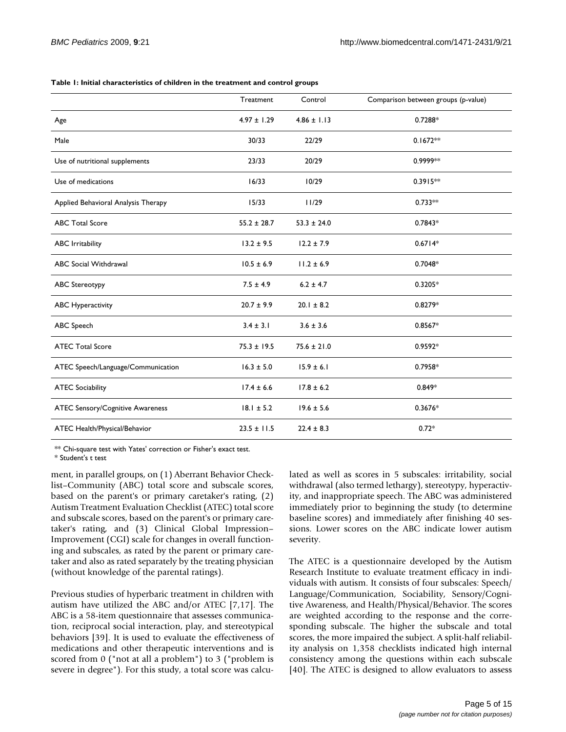|                                     | Treatment       | Control         | Comparison between groups (p-value) |
|-------------------------------------|-----------------|-----------------|-------------------------------------|
| Age                                 | $4.97 \pm 1.29$ | $4.86 \pm 1.13$ | $0.7288*$                           |
| Male                                | 30/33           | 22/29           | $0.1672**$                          |
| Use of nutritional supplements      | 23/33           | 20/29           | 0.9999**                            |
| Use of medications                  | 16/33           | 10/29           | $0.3915**$                          |
| Applied Behavioral Analysis Therapy | 15/33           | 11/29           | $0.733**$                           |
| <b>ABC Total Score</b>              | $55.2 \pm 28.7$ | $53.3 \pm 24.0$ | $0.7843*$                           |
| <b>ABC</b> Irritability             | $13.2 \pm 9.5$  | $12.2 \pm 7.9$  | $0.6714*$                           |
| <b>ABC Social Withdrawal</b>        | $10.5 \pm 6.9$  | $11.2 \pm 6.9$  | $0.7048*$                           |
| <b>ABC Stereotypy</b>               | $7.5 \pm 4.9$   | $6.2 \pm 4.7$   | $0.3205*$                           |
| <b>ABC Hyperactivity</b>            | $20.7 \pm 9.9$  | $20.1 \pm 8.2$  | $0.8279*$                           |
| ABC Speech                          | $3.4 \pm 3.1$   | $3.6 \pm 3.6$   | $0.8567*$                           |
| <b>ATEC Total Score</b>             | $75.3 \pm 19.5$ | $75.6 \pm 21.0$ | $0.9592*$                           |
| ATEC Speech/Language/Communication  | $16.3 \pm 5.0$  | $15.9 \pm 6.1$  | $0.7958*$                           |
| <b>ATEC Sociability</b>             | $17.4 \pm 6.6$  | $17.8 \pm 6.2$  | $0.849*$                            |
| ATEC Sensory/Cognitive Awareness    | $18.1 \pm 5.2$  | $19.6 \pm 5.6$  | $0.3676*$                           |
| ATEC Health/Physical/Behavior       | $23.5 \pm 11.5$ | $22.4 \pm 8.3$  | $0.72*$                             |

\*\* Chi-square test with Yates' correction or Fisher's exact test.

\* Student's t test

ment, in parallel groups, on (1) Aberrant Behavior Checklist–Community (ABC) total score and subscale scores, based on the parent's or primary caretaker's rating, (2) Autism Treatment Evaluation Checklist (ATEC) total score and subscale scores, based on the parent's or primary caretaker's rating, and (3) Clinical Global Impression– Improvement (CGI) scale for changes in overall functioning and subscales, as rated by the parent or primary caretaker and also as rated separately by the treating physician (without knowledge of the parental ratings).

Previous studies of hyperbaric treatment in children with autism have utilized the ABC and/or ATEC [7,17]. The ABC is a 58-item questionnaire that assesses communication, reciprocal social interaction, play, and stereotypical behaviors [39]. It is used to evaluate the effectiveness of medications and other therapeutic interventions and is scored from 0 ("not at all a problem") to 3 ("problem is severe in degree"). For this study, a total score was calculated as well as scores in 5 subscales: irritability, social withdrawal (also termed lethargy), stereotypy, hyperactivity, and inappropriate speech. The ABC was administered immediately prior to beginning the study (to determine baseline scores) and immediately after finishing 40 sessions. Lower scores on the ABC indicate lower autism severity.

The ATEC is a questionnaire developed by the Autism Research Institute to evaluate treatment efficacy in individuals with autism. It consists of four subscales: Speech/ Language/Communication, Sociability, Sensory/Cognitive Awareness, and Health/Physical/Behavior. The scores are weighted according to the response and the corresponding subscale. The higher the subscale and total scores, the more impaired the subject. A split-half reliability analysis on 1,358 checklists indicated high internal consistency among the questions within each subscale [40]. The ATEC is designed to allow evaluators to assess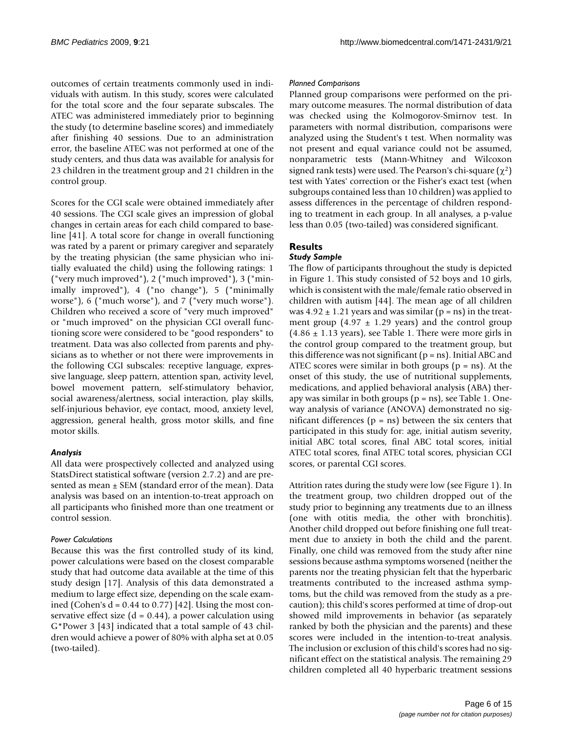outcomes of certain treatments commonly used in individuals with autism. In this study, scores were calculated for the total score and the four separate subscales. The ATEC was administered immediately prior to beginning the study (to determine baseline scores) and immediately after finishing 40 sessions. Due to an administration error, the baseline ATEC was not performed at one of the study centers, and thus data was available for analysis for 23 children in the treatment group and 21 children in the control group.

Scores for the CGI scale were obtained immediately after 40 sessions. The CGI scale gives an impression of global changes in certain areas for each child compared to baseline [41]. A total score for change in overall functioning was rated by a parent or primary caregiver and separately by the treating physician (the same physician who initially evaluated the child) using the following ratings: 1 ("very much improved"), 2 ("much improved"), 3 ("minimally improved"), 4 ("no change"), 5 ("minimally worse"), 6 ("much worse"), and 7 ("very much worse"). Children who received a score of "very much improved" or "much improved" on the physician CGI overall functioning score were considered to be "good responders" to treatment. Data was also collected from parents and physicians as to whether or not there were improvements in the following CGI subscales: receptive language, expressive language, sleep pattern, attention span, activity level, bowel movement pattern, self-stimulatory behavior, social awareness/alertness, social interaction, play skills, self-injurious behavior, eye contact, mood, anxiety level, aggression, general health, gross motor skills, and fine motor skills.

#### *Analysis*

All data were prospectively collected and analyzed using StatsDirect statistical software (version 2.7.2) and are presented as mean  $\pm$  SEM (standard error of the mean). Data analysis was based on an intention-to-treat approach on all participants who finished more than one treatment or control session.

#### *Power Calculations*

Because this was the first controlled study of its kind, power calculations were based on the closest comparable study that had outcome data available at the time of this study design [17]. Analysis of this data demonstrated a medium to large effect size, depending on the scale examined (Cohen's  $d = 0.44$  to 0.77) [42]. Using the most conservative effect size  $(d = 0.44)$ , a power calculation using G\*Power 3 [43] indicated that a total sample of 43 children would achieve a power of 80% with alpha set at 0.05 (two-tailed).

#### *Planned Comparisons*

Planned group comparisons were performed on the primary outcome measures. The normal distribution of data was checked using the Kolmogorov-Smirnov test. In parameters with normal distribution, comparisons were analyzed using the Student's t test. When normality was not present and equal variance could not be assumed, nonparametric tests (Mann-Whitney and Wilcoxon signed rank tests) were used. The Pearson's chi-square  $(\chi^2)$ test with Yates' correction or the Fisher's exact test (when subgroups contained less than 10 children) was applied to assess differences in the percentage of children responding to treatment in each group. In all analyses, a p-value less than 0.05 (two-tailed) was considered significant.

# **Results**

#### *Study Sample*

The flow of participants throughout the study is depicted in Figure 1. This study consisted of 52 boys and 10 girls, which is consistent with the male/female ratio observed in children with autism [44]. The mean age of all children was  $4.92 \pm 1.21$  years and was similar (p = ns) in the treatment group  $(4.97 \pm 1.29 \text{ years})$  and the control group  $(4.86 \pm 1.13 \text{ years})$ , see Table 1. There were more girls in the control group compared to the treatment group, but this difference was not significant  $(p = ns)$ . Initial ABC and ATEC scores were similar in both groups  $(p = ns)$ . At the onset of this study, the use of nutritional supplements, medications, and applied behavioral analysis (ABA) therapy was similar in both groups  $(p = ns)$ , see Table 1. Oneway analysis of variance (ANOVA) demonstrated no significant differences ( $p = ns$ ) between the six centers that participated in this study for: age, initial autism severity, initial ABC total scores, final ABC total scores, initial ATEC total scores, final ATEC total scores, physician CGI scores, or parental CGI scores.

Attrition rates during the study were low (see Figure 1). In the treatment group, two children dropped out of the study prior to beginning any treatments due to an illness (one with otitis media, the other with bronchitis). Another child dropped out before finishing one full treatment due to anxiety in both the child and the parent. Finally, one child was removed from the study after nine sessions because asthma symptoms worsened (neither the parents nor the treating physician felt that the hyperbaric treatments contributed to the increased asthma symptoms, but the child was removed from the study as a precaution); this child's scores performed at time of drop-out showed mild improvements in behavior (as separately ranked by both the physician and the parents) and these scores were included in the intention-to-treat analysis. The inclusion or exclusion of this child's scores had no significant effect on the statistical analysis. The remaining 29 children completed all 40 hyperbaric treatment sessions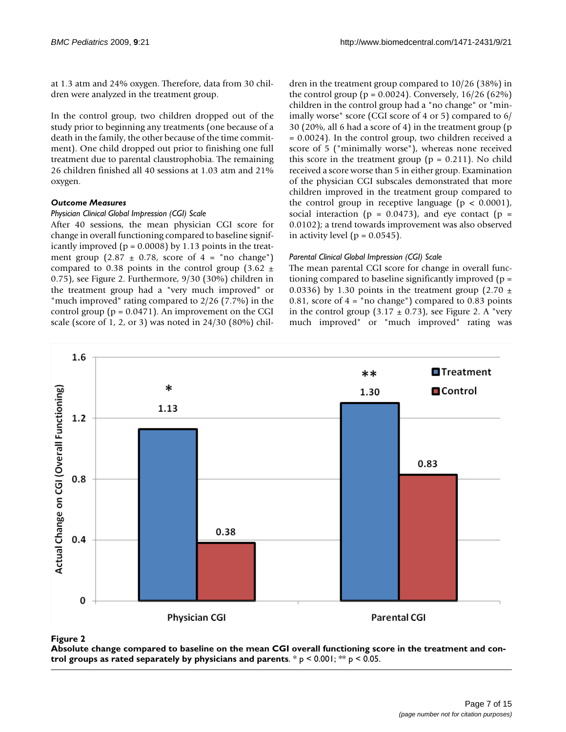at 1.3 atm and 24% oxygen. Therefore, data from 30 children were analyzed in the treatment group.

In the control group, two children dropped out of the study prior to beginning any treatments (one because of a death in the family, the other because of the time commitment). One child dropped out prior to finishing one full treatment due to parental claustrophobia. The remaining 26 children finished all 40 sessions at 1.03 atm and 21% oxygen.

#### *Outcome Measures*

#### *Physician Clinical Global Impression (CGI) Scale*

After 40 sessions, the mean physician CGI score for change in overall functioning compared to baseline significantly improved ( $p = 0.0008$ ) by 1.13 points in the treatment group  $(2.87 \pm 0.78)$ , score of  $4 =$  "no change") compared to 0.38 points in the control group (3.62  $\pm$ 0.75), see Figure 2. Furthermore, 9/30 (30%) children in the treatment group had a "very much improved" or "much improved" rating compared to 2/26 (7.7%) in the control group ( $p = 0.0471$ ). An improvement on the CGI scale (score of 1, 2, or 3) was noted in 24/30 (80%) children in the treatment group compared to 10/26 (38%) in the control group ( $p = 0.0024$ ). Conversely, 16/26 (62%) children in the control group had a "no change" or "minimally worse" score (CGI score of 4 or 5) compared to 6/ 30 (20%, all 6 had a score of 4) in the treatment group (p = 0.0024). In the control group, two children received a score of 5 ("minimally worse"), whereas none received this score in the treatment group ( $p = 0.211$ ). No child received a score worse than 5 in either group. Examination of the physician CGI subscales demonstrated that more children improved in the treatment group compared to the control group in receptive language ( $p < 0.0001$ ), social interaction ( $p = 0.0473$ ), and eye contact ( $p =$ 0.0102); a trend towards improvement was also observed in activity level ( $p = 0.0545$ ).

#### *Parental Clinical Global Impression (CGI) Scale*

The mean parental CGI score for change in overall functioning compared to baseline significantly improved (p = 0.0336) by 1.30 points in the treatment group (2.70  $\pm$ 0.81, score of  $4 = "no change"$  compared to 0.83 points in the control group  $(3.17 \pm 0.73)$ , see Figure 2. A "very much improved" or "much improved" rating was



#### Absolute change compared to baseline on the mean CGI overall separately by physicians and parents **Figure 2** functioning score in the treatment and control groups as rated

**Absolute change compared to baseline on the mean CGI overall functioning score in the treatment and control groups as rated separately by physicians and parents**. \* p < 0.001; \*\* p < 0.05.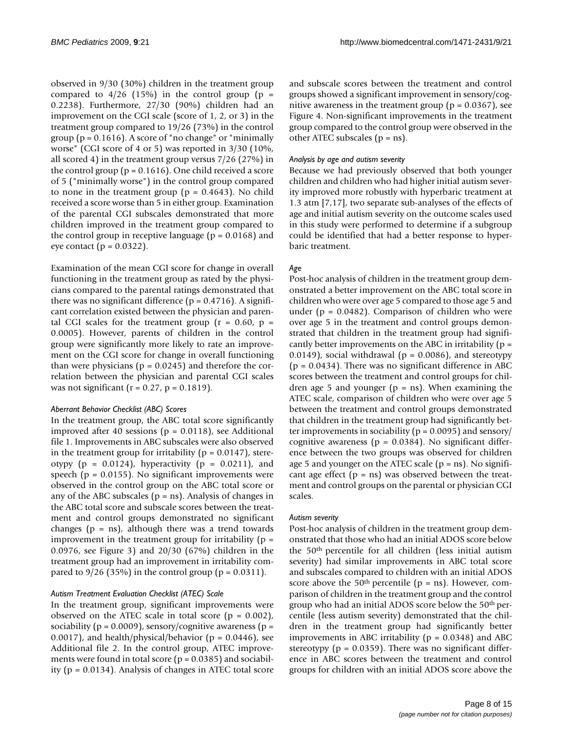observed in 9/30 (30%) children in the treatment group compared to  $4/26$  (15%) in the control group (p = 0.2238). Furthermore, 27/30 (90%) children had an improvement on the CGI scale (score of 1, 2, or 3) in the treatment group compared to 19/26 (73%) in the control group ( $p = 0.1616$ ). A score of "no change" or "minimally worse" (CGI score of 4 or 5) was reported in 3/30 (10%, all scored 4) in the treatment group versus 7/26 (27%) in the control group ( $p = 0.1616$ ). One child received a score of 5 ("minimally worse") in the control group compared to none in the treatment group ( $p = 0.4643$ ). No child received a score worse than 5 in either group. Examination of the parental CGI subscales demonstrated that more children improved in the treatment group compared to the control group in receptive language ( $p = 0.0168$ ) and eye contact ( $p = 0.0322$ ).

Examination of the mean CGI score for change in overall functioning in the treatment group as rated by the physicians compared to the parental ratings demonstrated that there was no significant difference ( $p = 0.4716$ ). A significant correlation existed between the physician and parental CGI scales for the treatment group ( $r = 0.60$ ,  $p =$ 0.0005). However, parents of children in the control group were significantly more likely to rate an improvement on the CGI score for change in overall functioning than were physicians ( $p = 0.0245$ ) and therefore the correlation between the physician and parental CGI scales was not significant ( $r = 0.27$ ,  $p = 0.1819$ ).

#### *Aberrant Behavior Checklist (ABC) Scores*

In the treatment group, the ABC total score significantly improved after 40 sessions ( $p = 0.0118$ ), see Additional file 1. Improvements in ABC subscales were also observed in the treatment group for irritability ( $p = 0.0147$ ), stereotypy ( $p = 0.0124$ ), hyperactivity ( $p = 0.0211$ ), and speech ( $p = 0.0155$ ). No significant improvements were observed in the control group on the ABC total score or any of the ABC subscales ( $p = ns$ ). Analysis of changes in the ABC total score and subscale scores between the treatment and control groups demonstrated no significant changes ( $p = ns$ ), although there was a trend towards improvement in the treatment group for irritability  $(p =$ 0.0976, see Figure 3) and 20/30 (67%) children in the treatment group had an improvement in irritability compared to  $9/26$  (35%) in the control group (p = 0.0311).

#### *Autism Treatment Evaluation Checklist (ATEC) Scale*

In the treatment group, significant improvements were observed on the ATEC scale in total score  $(p = 0.002)$ , sociability ( $p = 0.0009$ ), sensory/cognitive awareness ( $p =$ 0.0017), and health/physical/behavior ( $p = 0.0446$ ), see Additional file 2. In the control group, ATEC improvements were found in total score ( $p = 0.0385$ ) and sociability (p = 0.0134). Analysis of changes in ATEC total score and subscale scores between the treatment and control groups showed a significant improvement in sensory/cognitive awareness in the treatment group ( $p = 0.0367$ ), see Figure 4. Non-significant improvements in the treatment group compared to the control group were observed in the other ATEC subscales  $(p = ns)$ .

#### *Analysis by age and autism severity*

Because we had previously observed that both younger children and children who had higher initial autism severity improved more robustly with hyperbaric treatment at 1.3 atm [7,17], two separate sub-analyses of the effects of age and initial autism severity on the outcome scales used in this study were performed to determine if a subgroup could be identified that had a better response to hyperbaric treatment.

#### *Age*

Post-hoc analysis of children in the treatment group demonstrated a better improvement on the ABC total score in children who were over age 5 compared to those age 5 and under ( $p = 0.0482$ ). Comparison of children who were over age 5 in the treatment and control groups demonstrated that children in the treatment group had significantly better improvements on the ABC in irritability ( $p =$ 0.0149), social withdrawal ( $p = 0.0086$ ), and stereotypy  $(p = 0.0434)$ . There was no significant difference in ABC scores between the treatment and control groups for children age 5 and younger ( $p = ns$ ). When examining the ATEC scale, comparison of children who were over age 5 between the treatment and control groups demonstrated that children in the treatment group had significantly better improvements in sociability ( $p = 0.0095$ ) and sensory/ cognitive awareness ( $p = 0.0384$ ). No significant difference between the two groups was observed for children age 5 and younger on the ATEC scale  $(p = ns)$ . No significant age effect  $(p = ns)$  was observed between the treatment and control groups on the parental or physician CGI scales.

#### *Autism severity*

Post-hoc analysis of children in the treatment group demonstrated that those who had an initial ADOS score below the 50th percentile for all children (less initial autism severity) had similar improvements in ABC total score and subscales compared to children with an initial ADOS score above the  $50<sup>th</sup>$  percentile (p = ns). However, comparison of children in the treatment group and the control group who had an initial ADOS score below the 50<sup>th</sup> percentile (less autism severity) demonstrated that the children in the treatment group had significantly better improvements in ABC irritability ( $p = 0.0348$ ) and ABC stereotypy ( $p = 0.0359$ ). There was no significant difference in ABC scores between the treatment and control groups for children with an initial ADOS score above the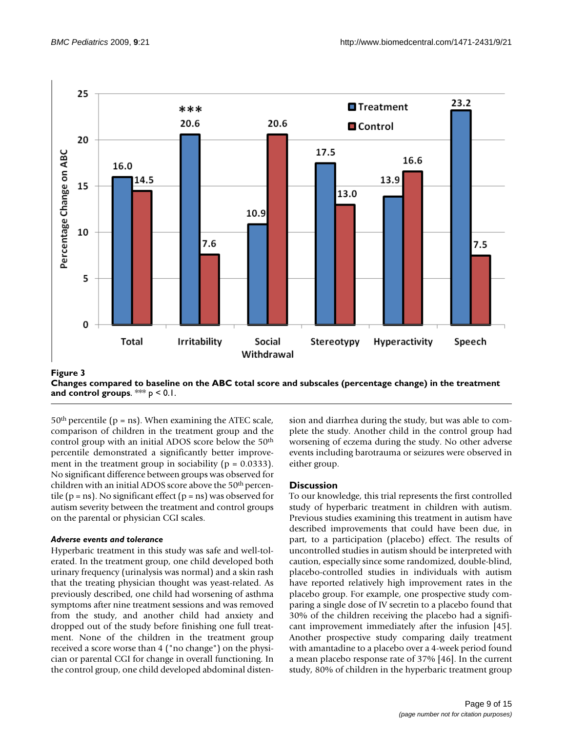

**Changes compared to baseline on the ABC total score and subscales (percentage change) in the treatment**  and control groups.  $** p < 0.1$ .

 $50<sup>th</sup>$  percentile (p = ns). When examining the ATEC scale, comparison of children in the treatment group and the control group with an initial ADOS score below the 50th percentile demonstrated a significantly better improvement in the treatment group in sociability ( $p = 0.0333$ ). No significant difference between groups was observed for children with an initial ADOS score above the 50th percentile ( $p = ns$ ). No significant effect ( $p = ns$ ) was observed for autism severity between the treatment and control groups on the parental or physician CGI scales.

#### *Adverse events and tolerance*

Hyperbaric treatment in this study was safe and well-tolerated. In the treatment group, one child developed both urinary frequency (urinalysis was normal) and a skin rash that the treating physician thought was yeast-related. As previously described, one child had worsening of asthma symptoms after nine treatment sessions and was removed from the study, and another child had anxiety and dropped out of the study before finishing one full treatment. None of the children in the treatment group received a score worse than 4 ("no change") on the physician or parental CGI for change in overall functioning. In the control group, one child developed abdominal distension and diarrhea during the study, but was able to complete the study. Another child in the control group had worsening of eczema during the study. No other adverse events including barotrauma or seizures were observed in either group.

#### **Discussion**

To our knowledge, this trial represents the first controlled study of hyperbaric treatment in children with autism. Previous studies examining this treatment in autism have described improvements that could have been due, in part, to a participation (placebo) effect. The results of uncontrolled studies in autism should be interpreted with caution, especially since some randomized, double-blind, placebo-controlled studies in individuals with autism have reported relatively high improvement rates in the placebo group. For example, one prospective study comparing a single dose of IV secretin to a placebo found that 30% of the children receiving the placebo had a significant improvement immediately after the infusion [45]. Another prospective study comparing daily treatment with amantadine to a placebo over a 4-week period found a mean placebo response rate of 37% [46]. In the current study, 80% of children in the hyperbaric treatment group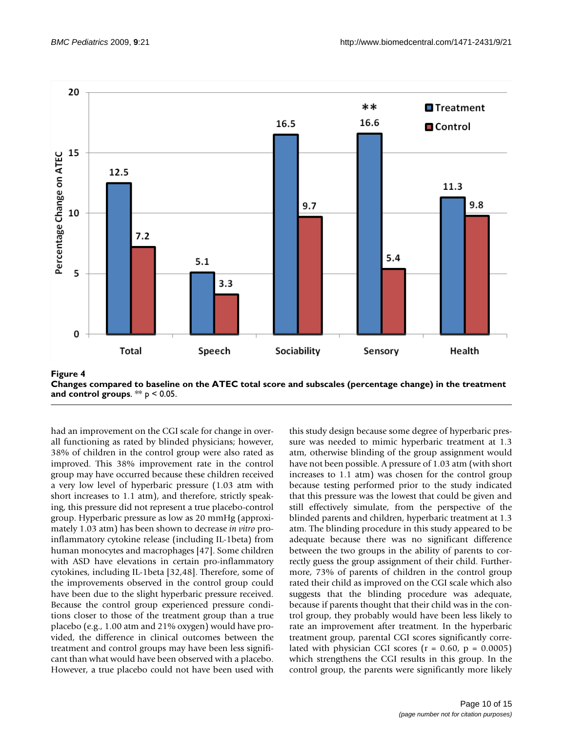

**Changes compared to baseline on the ATEC total score and subscales (percentage change) in the treatment**  and control groups.  $** p < 0.05$ .

had an improvement on the CGI scale for change in overall functioning as rated by blinded physicians; however, 38% of children in the control group were also rated as improved. This 38% improvement rate in the control group may have occurred because these children received a very low level of hyperbaric pressure (1.03 atm with short increases to 1.1 atm), and therefore, strictly speaking, this pressure did not represent a true placebo-control group. Hyperbaric pressure as low as 20 mmHg (approximately 1.03 atm) has been shown to decrease *in vitro* proinflammatory cytokine release (including IL-1beta) from human monocytes and macrophages [47]. Some children with ASD have elevations in certain pro-inflammatory cytokines, including IL-1beta [32,48]. Therefore, some of the improvements observed in the control group could have been due to the slight hyperbaric pressure received. Because the control group experienced pressure conditions closer to those of the treatment group than a true placebo (e.g., 1.00 atm and 21% oxygen) would have provided, the difference in clinical outcomes between the treatment and control groups may have been less significant than what would have been observed with a placebo. However, a true placebo could not have been used with

this study design because some degree of hyperbaric pressure was needed to mimic hyperbaric treatment at 1.3 atm, otherwise blinding of the group assignment would have not been possible. A pressure of 1.03 atm (with short increases to 1.1 atm) was chosen for the control group because testing performed prior to the study indicated that this pressure was the lowest that could be given and still effectively simulate, from the perspective of the blinded parents and children, hyperbaric treatment at 1.3 atm. The blinding procedure in this study appeared to be adequate because there was no significant difference between the two groups in the ability of parents to correctly guess the group assignment of their child. Furthermore, 73% of parents of children in the control group rated their child as improved on the CGI scale which also suggests that the blinding procedure was adequate, because if parents thought that their child was in the control group, they probably would have been less likely to rate an improvement after treatment. In the hyperbaric treatment group, parental CGI scores significantly correlated with physician CGI scores ( $r = 0.60$ ,  $p = 0.0005$ ) which strengthens the CGI results in this group. In the control group, the parents were significantly more likely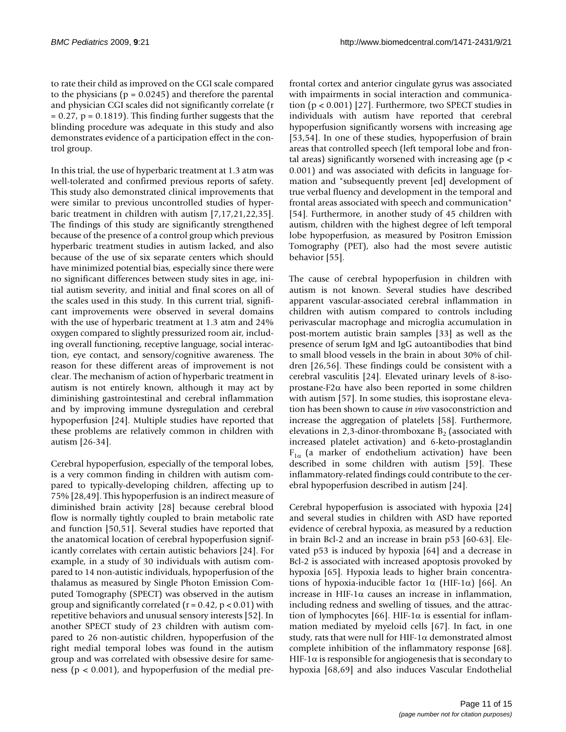to rate their child as improved on the CGI scale compared to the physicians ( $p = 0.0245$ ) and therefore the parental and physician CGI scales did not significantly correlate (r  $= 0.27$ ,  $p = 0.1819$ ). This finding further suggests that the blinding procedure was adequate in this study and also demonstrates evidence of a participation effect in the control group.

In this trial, the use of hyperbaric treatment at 1.3 atm was well-tolerated and confirmed previous reports of safety. This study also demonstrated clinical improvements that were similar to previous uncontrolled studies of hyperbaric treatment in children with autism [7,17,21,22,35]. The findings of this study are significantly strengthened because of the presence of a control group which previous hyperbaric treatment studies in autism lacked, and also because of the use of six separate centers which should have minimized potential bias, especially since there were no significant differences between study sites in age, initial autism severity, and initial and final scores on all of the scales used in this study. In this current trial, significant improvements were observed in several domains with the use of hyperbaric treatment at 1.3 atm and 24% oxygen compared to slightly pressurized room air, including overall functioning, receptive language, social interaction, eye contact, and sensory/cognitive awareness. The reason for these different areas of improvement is not clear. The mechanism of action of hyperbaric treatment in autism is not entirely known, although it may act by diminishing gastrointestinal and cerebral inflammation and by improving immune dysregulation and cerebral hypoperfusion [24]. Multiple studies have reported that these problems are relatively common in children with autism [26-34].

Cerebral hypoperfusion, especially of the temporal lobes, is a very common finding in children with autism compared to typically-developing children, affecting up to 75% [28,49]. This hypoperfusion is an indirect measure of diminished brain activity [28] because cerebral blood flow is normally tightly coupled to brain metabolic rate and function [50,51]. Several studies have reported that the anatomical location of cerebral hypoperfusion significantly correlates with certain autistic behaviors [24]. For example, in a study of 30 individuals with autism compared to 14 non-autistic individuals, hypoperfusion of the thalamus as measured by Single Photon Emission Computed Tomography (SPECT) was observed in the autism group and significantly correlated ( $r = 0.42$ ,  $p < 0.01$ ) with repetitive behaviors and unusual sensory interests [52]. In another SPECT study of 23 children with autism compared to 26 non-autistic children, hypoperfusion of the right medial temporal lobes was found in the autism group and was correlated with obsessive desire for sameness (p < 0.001), and hypoperfusion of the medial prefrontal cortex and anterior cingulate gyrus was associated with impairments in social interaction and communication (p < 0.001) [27]. Furthermore, two SPECT studies in individuals with autism have reported that cerebral hypoperfusion significantly worsens with increasing age [53,54]. In one of these studies, hypoperfusion of brain areas that controlled speech (left temporal lobe and frontal areas) significantly worsened with increasing age (p < 0.001) and was associated with deficits in language formation and "subsequently prevent [ed] development of true verbal fluency and development in the temporal and frontal areas associated with speech and communication" [54]. Furthermore, in another study of 45 children with autism, children with the highest degree of left temporal lobe hypoperfusion, as measured by Positron Emission Tomography (PET), also had the most severe autistic behavior [55].

The cause of cerebral hypoperfusion in children with autism is not known. Several studies have described apparent vascular-associated cerebral inflammation in children with autism compared to controls including perivascular macrophage and microglia accumulation in post-mortem autistic brain samples [33] as well as the presence of serum IgM and IgG autoantibodies that bind to small blood vessels in the brain in about 30% of children [26,56]. These findings could be consistent with a cerebral vasculitis [24]. Elevated urinary levels of 8-isoprostane-F2α have also been reported in some children with autism [57]. In some studies, this isoprostane elevation has been shown to cause *in vivo* vasoconstriction and increase the aggregation of platelets [58]. Furthermore, elevations in 2,3-dinor-thromboxane  $B_2$  (associated with increased platelet activation) and 6-keto-prostaglandin  $F_{1\alpha}$  (a marker of endothelium activation) have been described in some children with autism [59]. These inflammatory-related findings could contribute to the cerebral hypoperfusion described in autism [24].

Cerebral hypoperfusion is associated with hypoxia [24] and several studies in children with ASD have reported evidence of cerebral hypoxia, as measured by a reduction in brain Bcl-2 and an increase in brain p53 [60-63]. Elevated p53 is induced by hypoxia [64] and a decrease in Bcl-2 is associated with increased apoptosis provoked by hypoxia [65]. Hypoxia leads to higher brain concentrations of hypoxia-inducible factor  $1α$  (HIF-1α) [66]. An increase in HIF-1α causes an increase in inflammation, including redness and swelling of tissues, and the attraction of lymphocytes [66]. HIF-1 $\alpha$  is essential for inflammation mediated by myeloid cells [67]. In fact, in one study, rats that were null for HIF-1 $\alpha$  demonstrated almost complete inhibition of the inflammatory response [68]. HIF-1 $\alpha$  is responsible for angiogenesis that is secondary to hypoxia [68,69] and also induces Vascular Endothelial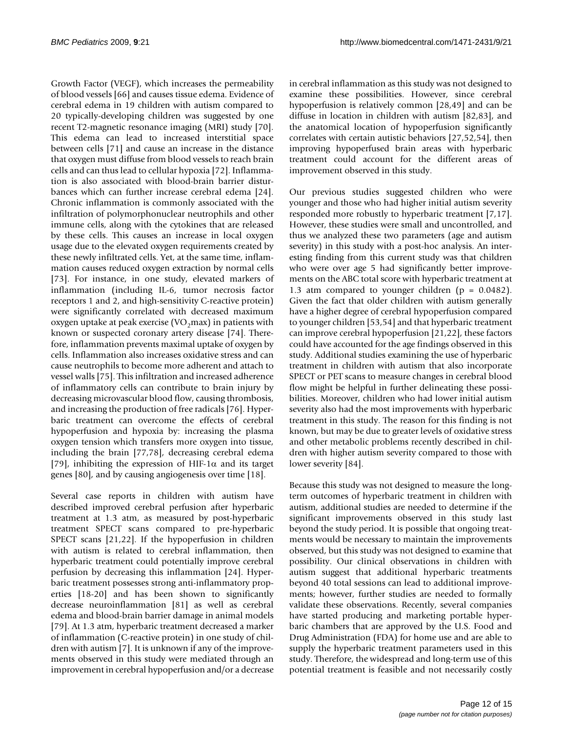Growth Factor (VEGF), which increases the permeability of blood vessels [66] and causes tissue edema. Evidence of cerebral edema in 19 children with autism compared to 20 typically-developing children was suggested by one recent T2-magnetic resonance imaging (MRI) study [70]. This edema can lead to increased interstitial space between cells [71] and cause an increase in the distance that oxygen must diffuse from blood vessels to reach brain cells and can thus lead to cellular hypoxia [72]. Inflammation is also associated with blood-brain barrier disturbances which can further increase cerebral edema [24]. Chronic inflammation is commonly associated with the infiltration of polymorphonuclear neutrophils and other immune cells, along with the cytokines that are released by these cells. This causes an increase in local oxygen usage due to the elevated oxygen requirements created by these newly infiltrated cells. Yet, at the same time, inflammation causes reduced oxygen extraction by normal cells [73]. For instance, in one study, elevated markers of inflammation (including IL-6, tumor necrosis factor receptors 1 and 2, and high-sensitivity C-reactive protein) were significantly correlated with decreased maximum oxygen uptake at peak exercise  $(VO<sub>2</sub>max)$  in patients with known or suspected coronary artery disease [74]. Therefore, inflammation prevents maximal uptake of oxygen by cells. Inflammation also increases oxidative stress and can cause neutrophils to become more adherent and attach to vessel walls [75]. This infiltration and increased adherence of inflammatory cells can contribute to brain injury by decreasing microvascular blood flow, causing thrombosis, and increasing the production of free radicals [76]. Hyperbaric treatment can overcome the effects of cerebral hypoperfusion and hypoxia by: increasing the plasma oxygen tension which transfers more oxygen into tissue, including the brain [77,78], decreasing cerebral edema [79], inhibiting the expression of HIF-1 $\alpha$  and its target genes [80], and by causing angiogenesis over time [18].

Several case reports in children with autism have described improved cerebral perfusion after hyperbaric treatment at 1.3 atm, as measured by post-hyperbaric treatment SPECT scans compared to pre-hyperbaric SPECT scans [21,22]. If the hypoperfusion in children with autism is related to cerebral inflammation, then hyperbaric treatment could potentially improve cerebral perfusion by decreasing this inflammation [24]. Hyperbaric treatment possesses strong anti-inflammatory properties [18-20] and has been shown to significantly decrease neuroinflammation [81] as well as cerebral edema and blood-brain barrier damage in animal models [79]. At 1.3 atm, hyperbaric treatment decreased a marker of inflammation (C-reactive protein) in one study of children with autism [7]. It is unknown if any of the improvements observed in this study were mediated through an improvement in cerebral hypoperfusion and/or a decrease

in cerebral inflammation as this study was not designed to examine these possibilities. However, since cerebral hypoperfusion is relatively common [28,49] and can be diffuse in location in children with autism [82,83], and the anatomical location of hypoperfusion significantly correlates with certain autistic behaviors [27,52,54], then improving hypoperfused brain areas with hyperbaric treatment could account for the different areas of improvement observed in this study.

Our previous studies suggested children who were younger and those who had higher initial autism severity responded more robustly to hyperbaric treatment [7,17]. However, these studies were small and uncontrolled, and thus we analyzed these two parameters (age and autism severity) in this study with a post-hoc analysis. An interesting finding from this current study was that children who were over age 5 had significantly better improvements on the ABC total score with hyperbaric treatment at 1.3 atm compared to younger children ( $p = 0.0482$ ). Given the fact that older children with autism generally have a higher degree of cerebral hypoperfusion compared to younger children [53,54] and that hyperbaric treatment can improve cerebral hypoperfusion [21,22], these factors could have accounted for the age findings observed in this study. Additional studies examining the use of hyperbaric treatment in children with autism that also incorporate SPECT or PET scans to measure changes in cerebral blood flow might be helpful in further delineating these possibilities. Moreover, children who had lower initial autism severity also had the most improvements with hyperbaric treatment in this study. The reason for this finding is not known, but may be due to greater levels of oxidative stress and other metabolic problems recently described in children with higher autism severity compared to those with lower severity [84].

Because this study was not designed to measure the longterm outcomes of hyperbaric treatment in children with autism, additional studies are needed to determine if the significant improvements observed in this study last beyond the study period. It is possible that ongoing treatments would be necessary to maintain the improvements observed, but this study was not designed to examine that possibility. Our clinical observations in children with autism suggest that additional hyperbaric treatments beyond 40 total sessions can lead to additional improvements; however, further studies are needed to formally validate these observations. Recently, several companies have started producing and marketing portable hyperbaric chambers that are approved by the U.S. Food and Drug Administration (FDA) for home use and are able to supply the hyperbaric treatment parameters used in this study. Therefore, the widespread and long-term use of this potential treatment is feasible and not necessarily costly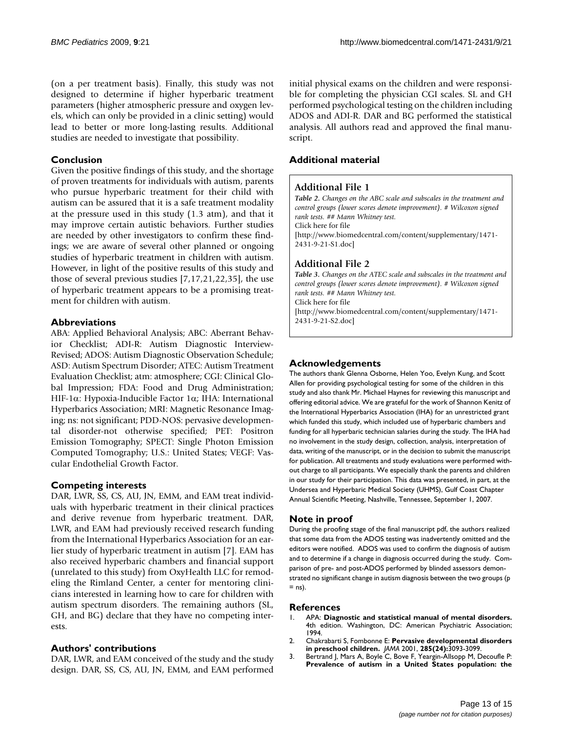(on a per treatment basis). Finally, this study was not designed to determine if higher hyperbaric treatment parameters (higher atmospheric pressure and oxygen levels, which can only be provided in a clinic setting) would lead to better or more long-lasting results. Additional studies are needed to investigate that possibility.

#### **Conclusion**

Given the positive findings of this study, and the shortage of proven treatments for individuals with autism, parents who pursue hyperbaric treatment for their child with autism can be assured that it is a safe treatment modality at the pressure used in this study (1.3 atm), and that it may improve certain autistic behaviors. Further studies are needed by other investigators to confirm these findings; we are aware of several other planned or ongoing studies of hyperbaric treatment in children with autism. However, in light of the positive results of this study and those of several previous studies [7,17,21,22,35], the use of hyperbaric treatment appears to be a promising treatment for children with autism.

#### **Abbreviations**

ABA: Applied Behavioral Analysis; ABC: Aberrant Behavior Checklist; ADI-R: Autism Diagnostic Interview-Revised; ADOS: Autism Diagnostic Observation Schedule; ASD: Autism Spectrum Disorder; ATEC: Autism Treatment Evaluation Checklist; atm: atmosphere; CGI: Clinical Global Impression; FDA: Food and Drug Administration; HIF-1α: Hypoxia-Inducible Factor 1α; IHA: International Hyperbarics Association; MRI: Magnetic Resonance Imaging; ns: not significant; PDD-NOS: pervasive developmental disorder-not otherwise specified; PET: Positron Emission Tomography; SPECT: Single Photon Emission Computed Tomography; U.S.: United States; VEGF: Vascular Endothelial Growth Factor.

#### **Competing interests**

DAR, LWR, SS, CS, AU, JN, EMM, and EAM treat individuals with hyperbaric treatment in their clinical practices and derive revenue from hyperbaric treatment. DAR, LWR, and EAM had previously received research funding from the International Hyperbarics Association for an earlier study of hyperbaric treatment in autism [7]. EAM has also received hyperbaric chambers and financial support (unrelated to this study) from OxyHealth LLC for remodeling the Rimland Center, a center for mentoring clinicians interested in learning how to care for children with autism spectrum disorders. The remaining authors (SL, GH, and BG) declare that they have no competing interests.

#### **Authors' contributions**

DAR, LWR, and EAM conceived of the study and the study design. DAR, SS, CS, AU, JN, EMM, and EAM performed

initial physical exams on the children and were responsible for completing the physician CGI scales. SL and GH performed psychological testing on the children including ADOS and ADI-R. DAR and BG performed the statistical analysis. All authors read and approved the final manuscript.

#### **Additional material**

#### **Additional File 1**

*Table 2. Changes on the ABC scale and subscales in the treatment and control groups (lower scores denote improvement). # Wilcoxon signed rank tests. ## Mann Whitney test.* Click here for file [\[http://www.biomedcentral.com/content/supplementary/1471-](http://www.biomedcentral.com/content/supplementary/1471-2431-9-21-S1.doc) 2431-9-21-S1.doc]

### **Additional File 2**

*Table 3. Changes on the ATEC scale and subscales in the treatment and control groups (lower scores denote improvement). # Wilcoxon signed rank tests. ## Mann Whitney test.* Click here for file

[\[http://www.biomedcentral.com/content/supplementary/1471-](http://www.biomedcentral.com/content/supplementary/1471-2431-9-21-S2.doc) 2431-9-21-S2.doc]

#### **Acknowledgements**

The authors thank Glenna Osborne, Helen Yoo, Evelyn Kung, and Scott Allen for providing psychological testing for some of the children in this study and also thank Mr. Michael Haynes for reviewing this manuscript and offering editorial advice. We are grateful for the work of Shannon Kenitz of the International Hyperbarics Association (IHA) for an unrestricted grant which funded this study, which included use of hyperbaric chambers and funding for all hyperbaric technician salaries during the study. The IHA had no involvement in the study design, collection, analysis, interpretation of data, writing of the manuscript, or in the decision to submit the manuscript for publication. All treatments and study evaluations were performed without charge to all participants. We especially thank the parents and children in our study for their participation. This data was presented, in part, at the Undersea and Hyperbaric Medical Society (UHMS), Gulf Coast Chapter Annual Scientific Meeting, Nashville, Tennessee, September 1, 2007.

#### **Note in proof**

During the proofing stage of the final manuscript pdf, the authors realized that some data from the ADOS testing was inadvertently omitted and the editors were notified. ADOS was used to confirm the diagnosis of autism and to determine if a change in diagnosis occurred during the study. Comparison of pre- and post-ADOS performed by blinded assessors demonstrated no significant change in autism diagnosis between the two groups (p  $=$  ns).

#### **References**

- 1. APA: **Diagnostic and statistical manual of mental disorders.** 4th edition. Washington, DC: American Psychiatric Association; 1994.
- 2. Chakrabarti S, Fombonne E: **[Pervasive developmental disorders](http://www.ncbi.nlm.nih.gov/entrez/query.fcgi?cmd=Retrieve&db=PubMed&dopt=Abstract&list_uids=11427137) [in preschool children.](http://www.ncbi.nlm.nih.gov/entrez/query.fcgi?cmd=Retrieve&db=PubMed&dopt=Abstract&list_uids=11427137)** *JAMA* 2001, **285(24):**3093-3099.
- 3. Bertrand J, Mars A, Boyle C, Bove F, Yeargin-Allsopp M, Decoufle P: **[Prevalence of autism in a United States population: the](http://www.ncbi.nlm.nih.gov/entrez/query.fcgi?cmd=Retrieve&db=PubMed&dopt=Abstract&list_uids=11694696)**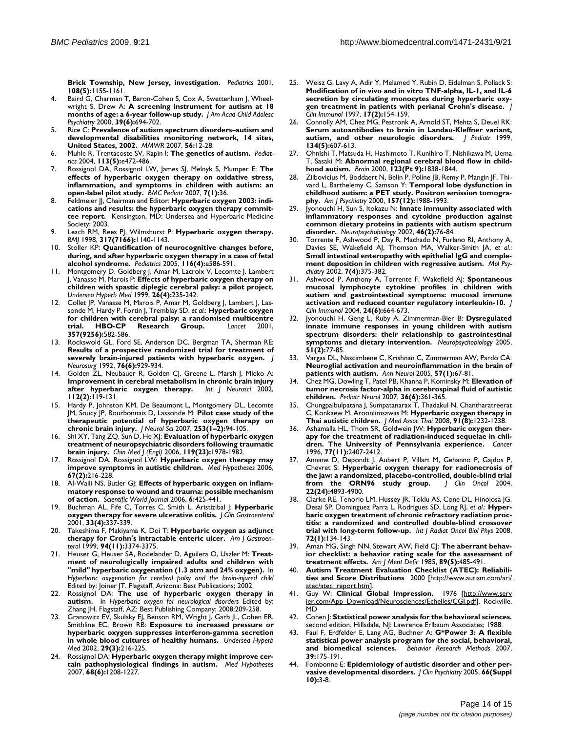**[Brick Township, New Jersey, investigation.](http://www.ncbi.nlm.nih.gov/entrez/query.fcgi?cmd=Retrieve&db=PubMed&dopt=Abstract&list_uids=11694696)** *Pediatrics* 2001, **108(5):**1155-116

- 4. Baird G, Charman T, Baron-Cohen S, Cox A, Swettenham J, Wheelwright S, Drew A: **[A screening instrument for autism at 18](http://www.ncbi.nlm.nih.gov/entrez/query.fcgi?cmd=Retrieve&db=PubMed&dopt=Abstract&list_uids=10846303) [months of age: a 6-year follow-up study.](http://www.ncbi.nlm.nih.gov/entrez/query.fcgi?cmd=Retrieve&db=PubMed&dopt=Abstract&list_uids=10846303)** *J Am Acad Child Adolesc Psychiatry* 2000, **39(6):**694-702.
- 5. Rice C: **[Prevalence of autism spectrum disorders–autism and](http://www.ncbi.nlm.nih.gov/entrez/query.fcgi?cmd=Retrieve&db=PubMed&dopt=Abstract&list_uids=17287715) [developmental disabilities monitoring network, 14 sites,](http://www.ncbi.nlm.nih.gov/entrez/query.fcgi?cmd=Retrieve&db=PubMed&dopt=Abstract&list_uids=17287715) [United States, 2002.](http://www.ncbi.nlm.nih.gov/entrez/query.fcgi?cmd=Retrieve&db=PubMed&dopt=Abstract&list_uids=17287715)** *MMWR* 2007, **56:**12-28.
- 6. Muhle R, Trentacoste SV, Rapin I: **[The genetics of autism.](http://www.ncbi.nlm.nih.gov/entrez/query.fcgi?cmd=Retrieve&db=PubMed&dopt=Abstract&list_uids=15121991)** *Pediatrics* 2004, **113(5):**e472-486.
- 7. Rossignol DA, Rossignol LW, James SJ, Melnyk S, Mumper E: **[The](http://www.ncbi.nlm.nih.gov/entrez/query.fcgi?cmd=Retrieve&db=PubMed&dopt=Abstract&list_uids=18005455) [effects of hyperbaric oxygen therapy on oxidative stress,](http://www.ncbi.nlm.nih.gov/entrez/query.fcgi?cmd=Retrieve&db=PubMed&dopt=Abstract&list_uids=18005455) inflammation, and symptoms in children with autism: an [open-label pilot study.](http://www.ncbi.nlm.nih.gov/entrez/query.fcgi?cmd=Retrieve&db=PubMed&dopt=Abstract&list_uids=18005455)** *BMC Pediatr* 2007, **7(1):**36.
- Feldmeier JJ, Chairman and Editor: Hyperbaric oxygen 2003: indi**cations and results: the hyperbaric oxygen therapy committee report.** Kensington, MD: Undersea and Hyperbaric Medicine Society; 2003.
- 9. Leach RM, Rees PJ, Wilmshurst P: **[Hyperbaric oxygen therapy.](http://www.ncbi.nlm.nih.gov/entrez/query.fcgi?cmd=Retrieve&db=PubMed&dopt=Abstract&list_uids=9784458)** *BMJ* 1998, **317(7166):**1140-1143.
- 10. Stoller KP: **[Quantification of neurocognitive changes before,](http://www.ncbi.nlm.nih.gov/entrez/query.fcgi?cmd=Retrieve&db=PubMed&dopt=Abstract&list_uids=16166387) [during, and after hyperbaric oxygen therapy in a case of fetal](http://www.ncbi.nlm.nih.gov/entrez/query.fcgi?cmd=Retrieve&db=PubMed&dopt=Abstract&list_uids=16166387) [alcohol syndrome.](http://www.ncbi.nlm.nih.gov/entrez/query.fcgi?cmd=Retrieve&db=PubMed&dopt=Abstract&list_uids=16166387)** *Pediatrics* 2005, **116(4):**e586-591.
- Montgomery D, Goldberg J, Amar M, Lacroix V, Lecomte J, Lambert J, Vanasse M, Marois P: **[Effects of hyperbaric oxygen therapy on](http://www.ncbi.nlm.nih.gov/entrez/query.fcgi?cmd=Retrieve&db=PubMed&dopt=Abstract&list_uids=10642070) [children with spastic diplegic cerebral palsy: a pilot project.](http://www.ncbi.nlm.nih.gov/entrez/query.fcgi?cmd=Retrieve&db=PubMed&dopt=Abstract&list_uids=10642070)** *Undersea Hyperb Med* 1999, **26(4):**235-242.
- 12. Collet JP, Vanasse M, Marois P, Amar M, Goldberg J, Lambert J, Lassonde M, Hardy P, Fortin J, Tremblay SD, *et al.*: **[Hyperbaric oxygen](http://www.ncbi.nlm.nih.gov/entrez/query.fcgi?cmd=Retrieve&db=PubMed&dopt=Abstract&list_uids=11558483) [for children with cerebral palsy: a randomised multicentre](http://www.ncbi.nlm.nih.gov/entrez/query.fcgi?cmd=Retrieve&db=PubMed&dopt=Abstract&list_uids=11558483) [trial. HBO-CP Research Group.](http://www.ncbi.nlm.nih.gov/entrez/query.fcgi?cmd=Retrieve&db=PubMed&dopt=Abstract&list_uids=11558483)** *Lancet* 2001, **357(9256):**582-586.
- 13. Rockswold GL, Ford SE, Anderson DC, Bergman TA, Sherman RE: **[Results of a prospective randomized trial for treatment of](http://www.ncbi.nlm.nih.gov/entrez/query.fcgi?cmd=Retrieve&db=PubMed&dopt=Abstract&list_uids=1588426) [severely brain-injured patients with hyperbaric oxygen.](http://www.ncbi.nlm.nih.gov/entrez/query.fcgi?cmd=Retrieve&db=PubMed&dopt=Abstract&list_uids=1588426)** *J Neurosurg* 1992, **76(6):**929-934.
- 14. Golden ZL, Neubauer R, Golden CJ, Greene L, Marsh J, Mleko A: **[Improvement in cerebral metabolism in chronic brain injury](http://www.ncbi.nlm.nih.gov/entrez/query.fcgi?cmd=Retrieve&db=PubMed&dopt=Abstract&list_uids=12325401)** after hyperbaric oxygen therapy. Int J Neurosci 2002, [after hyperbaric oxygen therapy.](http://www.ncbi.nlm.nih.gov/entrez/query.fcgi?cmd=Retrieve&db=PubMed&dopt=Abstract&list_uids=12325401) **112(2):**119-131.
- 15. Hardy P, Johnston KM, De Beaumont L, Montgomery DL, Lecomte JM, Soucy JP, Bourbonnais D, Lassonde M: **[Pilot case study of the](http://www.ncbi.nlm.nih.gov/entrez/query.fcgi?cmd=Retrieve&db=PubMed&dopt=Abstract&list_uids=17234213) [therapeutic potential of hyperbaric oxygen therapy on](http://www.ncbi.nlm.nih.gov/entrez/query.fcgi?cmd=Retrieve&db=PubMed&dopt=Abstract&list_uids=17234213) [chronic brain injury.](http://www.ncbi.nlm.nih.gov/entrez/query.fcgi?cmd=Retrieve&db=PubMed&dopt=Abstract&list_uids=17234213)** *J Neurol Sci* 2007, **253(1–2):**94-105.
- 16. Shi XY, Tang ZQ, Sun D, He XJ: **[Evaluation of hyperbaric oxygen](http://www.ncbi.nlm.nih.gov/entrez/query.fcgi?cmd=Retrieve&db=PubMed&dopt=Abstract&list_uids=17199942) [treatment of neuropsychiatric disorders following traumatic](http://www.ncbi.nlm.nih.gov/entrez/query.fcgi?cmd=Retrieve&db=PubMed&dopt=Abstract&list_uids=17199942) [brain injury.](http://www.ncbi.nlm.nih.gov/entrez/query.fcgi?cmd=Retrieve&db=PubMed&dopt=Abstract&list_uids=17199942)** *Chin Med J (Engl)* 2006, **119(23):**1978-1982.
- 17. Rossignol DA, Rossignol LW: **[Hyperbaric oxygen therapy may](http://www.ncbi.nlm.nih.gov/entrez/query.fcgi?cmd=Retrieve&db=PubMed&dopt=Abstract&list_uids=16554123) [improve symptoms in autistic children.](http://www.ncbi.nlm.nih.gov/entrez/query.fcgi?cmd=Retrieve&db=PubMed&dopt=Abstract&list_uids=16554123)** *Med Hypotheses* 2006, **67(2):**216-228.
- 18. Al-Waili NS, Butler GJ: **[Effects of hyperbaric oxygen on inflam](http://www.ncbi.nlm.nih.gov/entrez/query.fcgi?cmd=Retrieve&db=PubMed&dopt=Abstract&list_uids=16604253)[matory response to wound and trauma: possible mechanism](http://www.ncbi.nlm.nih.gov/entrez/query.fcgi?cmd=Retrieve&db=PubMed&dopt=Abstract&list_uids=16604253) [of action.](http://www.ncbi.nlm.nih.gov/entrez/query.fcgi?cmd=Retrieve&db=PubMed&dopt=Abstract&list_uids=16604253)** *Scientific World Journal* 2006, **6:**425-441.
- 19. Buchman AL, Fife C, Torres C, Smith L, Aristizibal J: **[Hyperbaric](http://www.ncbi.nlm.nih.gov/entrez/query.fcgi?cmd=Retrieve&db=PubMed&dopt=Abstract&list_uids=11588553) [oxygen therapy for severe ulcerative colitis.](http://www.ncbi.nlm.nih.gov/entrez/query.fcgi?cmd=Retrieve&db=PubMed&dopt=Abstract&list_uids=11588553)** *J Clin Gastroenterol* 2001, **33(4):**337-339.
- 20. Takeshima F, Makiyama K, Doi T: **[Hyperbaric oxygen as adjunct](http://www.ncbi.nlm.nih.gov/entrez/query.fcgi?cmd=Retrieve&db=PubMed&dopt=Abstract&list_uids=10566754) [therapy for Crohn's intractable enteric ulcer.](http://www.ncbi.nlm.nih.gov/entrez/query.fcgi?cmd=Retrieve&db=PubMed&dopt=Abstract&list_uids=10566754)** *Am J Gastroenterol* 1999, **94(11):**3374-3375.
- 21. Heuser G, Heuser SA, Rodelander D, Aguilera O, Uszler M: **Treatment of neurologically impaired adults and children with "mild" hyperbaric oxygenation (1.3 atm and 24% oxygen).** In *Hyperbaric oxygenation for cerebral palsy and the brain-injured child* Edited by: Joiner JT. Flagstaff, Arizona: Best Publications; 2002.
- 22. Rossignol DA: **The use of hyperbaric oxygen therapy in autism.** In *Hyperbaric oxygen for neurological disorders* Edited by: Zhang JH. Flagstaff, AZ: Best Publishing Company; 2008:209-258.
- 23. Granowitz EV, Skulsky EJ, Benson RM, Wright J, Garb JL, Cohen ER, Smithline EC, Brown RB: **[Exposure to increased pressure or](http://www.ncbi.nlm.nih.gov/entrez/query.fcgi?cmd=Retrieve&db=PubMed&dopt=Abstract&list_uids=12670123) [hyperbaric oxygen suppresses interferon-gamma secretion](http://www.ncbi.nlm.nih.gov/entrez/query.fcgi?cmd=Retrieve&db=PubMed&dopt=Abstract&list_uids=12670123) [in whole blood cultures of healthy humans.](http://www.ncbi.nlm.nih.gov/entrez/query.fcgi?cmd=Retrieve&db=PubMed&dopt=Abstract&list_uids=12670123)** *Undersea Hyperb Med* 2002, **29(3):**216-225.
- 24. Rossignol DA: **[Hyperbaric oxygen therapy might improve cer](http://www.ncbi.nlm.nih.gov/entrez/query.fcgi?cmd=Retrieve&db=PubMed&dopt=Abstract&list_uids=17141962)[tain pathophysiological findings in autism.](http://www.ncbi.nlm.nih.gov/entrez/query.fcgi?cmd=Retrieve&db=PubMed&dopt=Abstract&list_uids=17141962)** *Med Hypotheses* 2007, **68(6):**1208-1227.
- 25. Weisz G, Lavy A, Adir Y, Melamed Y, Rubin D, Eidelman S, Pollack S: **[Modification of in vivo and in vitro TNF-alpha, IL-1, and IL-6](http://www.ncbi.nlm.nih.gov/entrez/query.fcgi?cmd=Retrieve&db=PubMed&dopt=Abstract&list_uids=9083891) secretion by circulating monocytes during hyperbaric oxy[gen treatment in patients with perianal Crohn's disease.](http://www.ncbi.nlm.nih.gov/entrez/query.fcgi?cmd=Retrieve&db=PubMed&dopt=Abstract&list_uids=9083891)** *J Clin Immunol* 1997, **17(2):**154-159.
- 26. Connolly AM, Chez MG, Pestronk A, Arnold ST, Mehta S, Deuel RK: **[Serum autoantibodies to brain in Landau-Kleffner variant,](http://www.ncbi.nlm.nih.gov/entrez/query.fcgi?cmd=Retrieve&db=PubMed&dopt=Abstract&list_uids=10228297) [autism, and other neurologic disorders.](http://www.ncbi.nlm.nih.gov/entrez/query.fcgi?cmd=Retrieve&db=PubMed&dopt=Abstract&list_uids=10228297)** *J Pediatr* 1999, **134(5):**607-613.
- 27. Ohnishi T, Matsuda H, Hashimoto T, Kunihiro T, Nishikawa M, Uema T, Sasaki M: **[Abnormal regional cerebral blood flow in child](http://www.ncbi.nlm.nih.gov/entrez/query.fcgi?cmd=Retrieve&db=PubMed&dopt=Abstract&list_uids=10960047)[hood autism.](http://www.ncbi.nlm.nih.gov/entrez/query.fcgi?cmd=Retrieve&db=PubMed&dopt=Abstract&list_uids=10960047)** *Brain* 2000, **123(Pt 9):**1838-1844.
- 28. Zilbovicius M, Boddaert N, Belin P, Poline JB, Remy P, Mangin JF, Thivard L, Barthelemy C, Samson Y: **[Temporal lobe dysfunction in](http://www.ncbi.nlm.nih.gov/entrez/query.fcgi?cmd=Retrieve&db=PubMed&dopt=Abstract&list_uids=11097965) [childhood autism: a PET study. Positron emission tomogra](http://www.ncbi.nlm.nih.gov/entrez/query.fcgi?cmd=Retrieve&db=PubMed&dopt=Abstract&list_uids=11097965)[phy.](http://www.ncbi.nlm.nih.gov/entrez/query.fcgi?cmd=Retrieve&db=PubMed&dopt=Abstract&list_uids=11097965)** *Am J Psychiatry* 2000, **157(12):**1988-1993.
- 29. Jyonouchi H, Sun S, Itokazu N: **[Innate immunity associated with](http://www.ncbi.nlm.nih.gov/entrez/query.fcgi?cmd=Retrieve&db=PubMed&dopt=Abstract&list_uids=12378124) [inflammatory responses and cytokine production against](http://www.ncbi.nlm.nih.gov/entrez/query.fcgi?cmd=Retrieve&db=PubMed&dopt=Abstract&list_uids=12378124) common dietary proteins in patients with autism spectrum [disorder.](http://www.ncbi.nlm.nih.gov/entrez/query.fcgi?cmd=Retrieve&db=PubMed&dopt=Abstract&list_uids=12378124)** *Neuropsychobiology* 2002, **46(2):**76-84.
- 30. Torrente F, Ashwood P, Day R, Machado N, Furlano RI, Anthony A, Davies SE, Wakefield AJ, Thomson MA, Walker-Smith JA, *et al.*: **[Small intestinal enteropathy with epithelial IgG and comple](http://www.ncbi.nlm.nih.gov/entrez/query.fcgi?cmd=Retrieve&db=PubMed&dopt=Abstract&list_uids=11986981)[ment deposition in children with regressive autism.](http://www.ncbi.nlm.nih.gov/entrez/query.fcgi?cmd=Retrieve&db=PubMed&dopt=Abstract&list_uids=11986981)** *Mol Psychiatry* 2002, **7(4):**375-382.
- 31. Ashwood P, Anthony A, Torrente F, Wakefield AJ: **[Spontaneous](http://www.ncbi.nlm.nih.gov/entrez/query.fcgi?cmd=Retrieve&db=PubMed&dopt=Abstract&list_uids=15622451) [mucosal lymphocyte cytokine profiles in children with](http://www.ncbi.nlm.nih.gov/entrez/query.fcgi?cmd=Retrieve&db=PubMed&dopt=Abstract&list_uids=15622451) autism and gastrointestinal symptoms: mucosal immune [activation and reduced counter regulatory interleukin-10.](http://www.ncbi.nlm.nih.gov/entrez/query.fcgi?cmd=Retrieve&db=PubMed&dopt=Abstract&list_uids=15622451)** *J Clin Immunol* 2004, **24(6):**664-673.
- 32. Jyonouchi H, Geng L, Ruby A, Zimmerman-Bier B: **[Dysregulated](http://www.ncbi.nlm.nih.gov/entrez/query.fcgi?cmd=Retrieve&db=PubMed&dopt=Abstract&list_uids=15741748) [innate immune responses in young children with autism](http://www.ncbi.nlm.nih.gov/entrez/query.fcgi?cmd=Retrieve&db=PubMed&dopt=Abstract&list_uids=15741748) spectrum disorders: their relationship to gastrointestinal [symptoms and dietary intervention.](http://www.ncbi.nlm.nih.gov/entrez/query.fcgi?cmd=Retrieve&db=PubMed&dopt=Abstract&list_uids=15741748)** *Neuropsychobiology* 2005, **51(2):**77-85.
- 33. Vargas DL, Nascimbene C, Krishnan C, Zimmerman AW, Pardo CA: **[Neuroglial activation and neuroinflammation in the brain of](http://www.ncbi.nlm.nih.gov/entrez/query.fcgi?cmd=Retrieve&db=PubMed&dopt=Abstract&list_uids=15546155) [patients with autism.](http://www.ncbi.nlm.nih.gov/entrez/query.fcgi?cmd=Retrieve&db=PubMed&dopt=Abstract&list_uids=15546155)** *Ann Neurol* 2005, **57(1):**67-81.
- 34. Chez MG, Dowling T, Patel PB, Khanna P, Kominsky M: **[Elevation of](http://www.ncbi.nlm.nih.gov/entrez/query.fcgi?cmd=Retrieve&db=PubMed&dopt=Abstract&list_uids=17560496) [tumor necrosis factor-alpha in cerebrospinal fluid of autistic](http://www.ncbi.nlm.nih.gov/entrez/query.fcgi?cmd=Retrieve&db=PubMed&dopt=Abstract&list_uids=17560496) [children.](http://www.ncbi.nlm.nih.gov/entrez/query.fcgi?cmd=Retrieve&db=PubMed&dopt=Abstract&list_uids=17560496)** *Pediatr Neurol* 2007, **36(6):**361-365.
- 35. Chungpaibulpatana J, Sumpatanarax T, Thadakul N, Chantharatreerat C, Konkaew M, Aroonlimsawas M: **[Hyperbaric oxygen therapy in](http://www.ncbi.nlm.nih.gov/entrez/query.fcgi?cmd=Retrieve&db=PubMed&dopt=Abstract&list_uids=18788696) [Thai autistic children.](http://www.ncbi.nlm.nih.gov/entrez/query.fcgi?cmd=Retrieve&db=PubMed&dopt=Abstract&list_uids=18788696)** *J Med Assoc Thai* 2008, **91(8):**1232-1238.
- 36. Ashamalla HL, Thom SR, Goldwein JW: **[Hyperbaric oxygen ther](http://www.ncbi.nlm.nih.gov/entrez/query.fcgi?cmd=Retrieve&db=PubMed&dopt=Abstract&list_uids=8635114)[apy for the treatment of radiation-induced sequelae in chil](http://www.ncbi.nlm.nih.gov/entrez/query.fcgi?cmd=Retrieve&db=PubMed&dopt=Abstract&list_uids=8635114)[dren. The University of Pennsylvania experience.](http://www.ncbi.nlm.nih.gov/entrez/query.fcgi?cmd=Retrieve&db=PubMed&dopt=Abstract&list_uids=8635114)** *Cancer* 1996, **77(11):**2407-2412.
- Annane D, Depondt J, Aubert P, Villart M, Gehanno P, Gajdos P, Chevret S: **[Hyperbaric oxygen therapy for radionecrosis of](http://www.ncbi.nlm.nih.gov/entrez/query.fcgi?cmd=Retrieve&db=PubMed&dopt=Abstract&list_uids=15520052) [the jaw: a randomized, placebo-controlled, double-blind trial](http://www.ncbi.nlm.nih.gov/entrez/query.fcgi?cmd=Retrieve&db=PubMed&dopt=Abstract&list_uids=15520052) [from the ORN96 study group.](http://www.ncbi.nlm.nih.gov/entrez/query.fcgi?cmd=Retrieve&db=PubMed&dopt=Abstract&list_uids=15520052)** *J Clin Oncol* 2004, **22(24):**4893-4900.
- 38. Clarke RE, Tenorio LM, Hussey JR, Toklu AS, Cone DL, Hinojosa JG, Desai SP, Dominguez Parra L, Rodrigues SD, Long RJ, *et al.*: **[Hyper](http://www.ncbi.nlm.nih.gov/entrez/query.fcgi?cmd=Retrieve&db=PubMed&dopt=Abstract&list_uids=18342453)[baric oxygen treatment of chronic refractory radiation proc](http://www.ncbi.nlm.nih.gov/entrez/query.fcgi?cmd=Retrieve&db=PubMed&dopt=Abstract&list_uids=18342453)titis: a randomized and controlled double-blind crossover [trial with long-term follow-up.](http://www.ncbi.nlm.nih.gov/entrez/query.fcgi?cmd=Retrieve&db=PubMed&dopt=Abstract&list_uids=18342453)** *Int J Radiat Oncol Biol Phys* 2008, **72(1):**134-143.
- 39. Aman MG, Singh NN, Stewart AW, Field CJ: **[The aberrant behav](http://www.ncbi.nlm.nih.gov/entrez/query.fcgi?cmd=Retrieve&db=PubMed&dopt=Abstract&list_uids=3993694)[ior checklist: a behavior rating scale for the assessment of](http://www.ncbi.nlm.nih.gov/entrez/query.fcgi?cmd=Retrieve&db=PubMed&dopt=Abstract&list_uids=3993694) [treatment effects.](http://www.ncbi.nlm.nih.gov/entrez/query.fcgi?cmd=Retrieve&db=PubMed&dopt=Abstract&list_uids=3993694)** *Am J Ment Defic* 1985, **89(5):**485-491.
- Autism Treatment Evaluation Checklist (ATEC): Reliabili**ties and Score Distributions** 2000 [[http://www.autism.com/ari/](http://www.autism.com/ari/atec/atec_report.htm) [atec/atec\\_report.htm\]](http://www.autism.com/ari/atec/atec_report.htm).
- 41. Guy W: **Clinical Global Impression.** 1976 [[http://www.serv](http://www.servier.com/App_Download/Neurosciences/Echelles/CGI.pdf) [ier.com/App\\_Download/Neurosciences/Echelles/CGI.pdf](http://www.servier.com/App_Download/Neurosciences/Echelles/CGI.pdf)]. Rockville, MD
- 42. Cohen J: **Statistical power analysis for the behavioral sciences.** second edition. Hillsdale, NJ: Lawrence Erlbaum Associates; 1988.
- 43. Faul F, Erdfelder E, Lang AG, Buchner A: **[G\\*Power 3: A flexible](http://www.ncbi.nlm.nih.gov/entrez/query.fcgi?cmd=Retrieve&db=PubMed&dopt=Abstract&list_uids=17695343) [statistical power analysis program for the social, behavioral,](http://www.ncbi.nlm.nih.gov/entrez/query.fcgi?cmd=Retrieve&db=PubMed&dopt=Abstract&list_uids=17695343) [and biomedical sciences.](http://www.ncbi.nlm.nih.gov/entrez/query.fcgi?cmd=Retrieve&db=PubMed&dopt=Abstract&list_uids=17695343)** *Behavior Research Methods* 2007, **39:**175-191.
- 44. Fombonne E: **[Epidemiology of autistic disorder and other per](http://www.ncbi.nlm.nih.gov/entrez/query.fcgi?cmd=Retrieve&db=PubMed&dopt=Abstract&list_uids=16401144)[vasive developmental disorders.](http://www.ncbi.nlm.nih.gov/entrez/query.fcgi?cmd=Retrieve&db=PubMed&dopt=Abstract&list_uids=16401144)** *J Clin Psychiatry* 2005, **66(Suppl 10):**3-8.